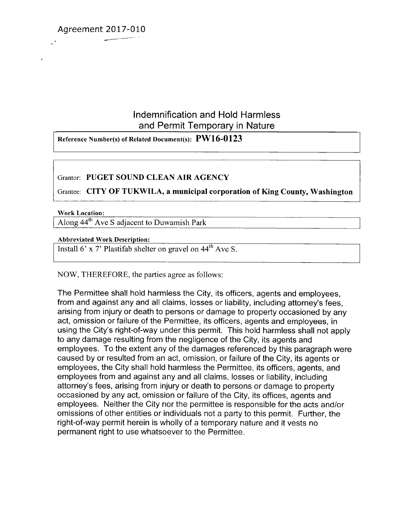Agreement 2017-010

# Indemnification and Hold Harmless and Permit Temporary in Nature

Reference Number(s) of Related Document(s): **PW16-0123**

# Grantor: **PUGET SOUND CLEAN AIR AGENCY**

Grantee: **CITY OF TUKWILA, a municipal corporation of King County, Washington**

### **Work Location:**

Along 44th Ave S adjacent to Duwamish Park

### **Abbreviated Work Description:**

Install 6' x 7' Plastifab shelter on gravel on  $44^{\text{th}}$  Ave S.

## NOW, THEREFORE, the parties agree as follows:

The Permittee shall hold harmless the City, its officers, agents and employees, from and against any and all claims, losses or liability, including attorney's fees, arising from injury or death to persons or damage to property occasioned by any act, omission or failure of the Permittee, its officers, agents and employees, in using the City's right-of-way under this permit. This hold harmless shall not apply to any damage resulting from the negligence of the City, its agents and employees. To the extent any of the damages referenced by this paragraph were caused by or resulted from an act, omission, or failure of the City, its agents or employees, the City shall hold harmless the Permittee, its officers, agents, and employees from and against any and all claims, losses or liability, including attorney's fees, arising from injury or death to persons or damage to property occasioned by any act, omission or failure of the City, its offices, agents and employees. Neither the City nor the permittee is responsible for the acts and/or omissions of other entities or individuals not a party to this permit. Further, the right-of-way permit herein is wholly of a temporary nature and it vests no permanent right to use whatsoever to the Permittee.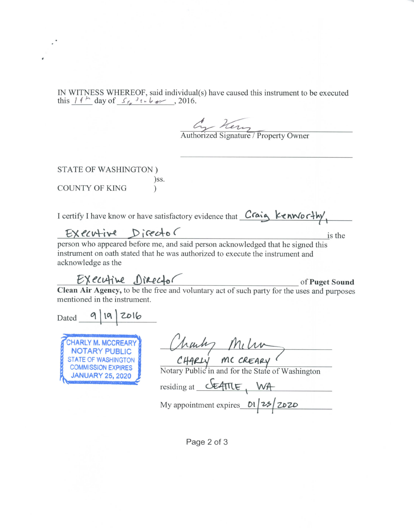IN WITNESS WHEREOF, said individual(s) have caused this instrument to be executed this  $11^{h}$  day of  $S_{f}$ ,  $\frac{1}{2}i + \frac{1}{2}i + \frac{1}{2}i + \frac{1}{2}i$ , 2016.

Authorized Signature / Property Owner

STATE OF WASHINGTON ) )ss. COUNTY OF KING )

I certify I have know or have satisfactory evidence that  $C$ *Caig*  $K$ *enworthy* 

Exercise of the Craig Kenworthy<br>
of said person acknowledged that he signed this<br>
state of the signed this person who appeared before me, and said person acknowledged that he signed this instrument on oath stated that he was authorized to execute the instrument and acknowledge as the

**of Puget Sound**

**Clean Air Agency,** to be the free and voluntary act of such party for the uses and purposes mentioned in the instrument.

Dated 9 19 2016

**[L** CHARLY M. MCCREARY NOTARY PUBLIC STATE OF WASHINGTON COMMISSION EXPIRES **k JANUARY 25, 2020**

| Charles Mili    |  |
|-----------------|--|
| CHARLY MCCREARY |  |

Notary Public in and for the State of Washington

 $residing at$   $\sqrt{\frac{24\pi}{\pi}}$  WA

My appointment expires *DI 25 2020* 

Page 2 of 3